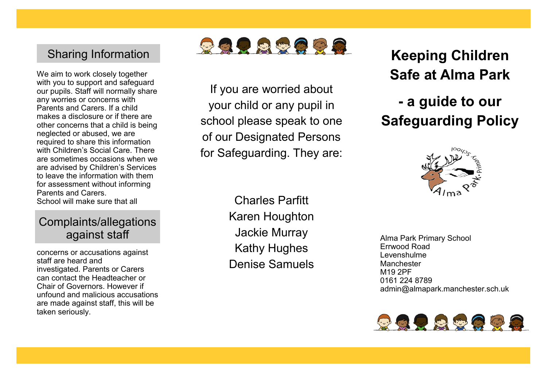## Sharing Information

We aim to work closely together with you to support and safeguard our pupils. Staff will normally share any worries or concerns with Parents and Carers. If a child makes a disclosure or if there are other concerns that a child is being neglected or abused, we are required to share this information with Children's Social Care. There. are sometimes occasions when we are advised by Children's Services to leave the information with them for assessment without informing Parents and Carers. School will make sure that all

## Complaints/allegations against staff

concerns or accusations against staff are heard and investigated. Parents or Carers can contact the Headteacher or Chair of Governors. However if unfound and malicious accusations are made against staff, this will be taken seriously.



If you are worried about your child or any pupil in school please speak to one of our Designated Persons for Safeguarding. They are:

> Charles Parfitt Karen Houghton Jackie Murray Kathy Hughes Denise Samuels

**Keeping Children Safe at Alma Park**

# **- a guide to our Safeguarding Policy**



Alma Park Primary School Errwood Road Levenshulme Manchester M19 2PF 0161 224 8789 admin@almapark.manchester.sch.uk